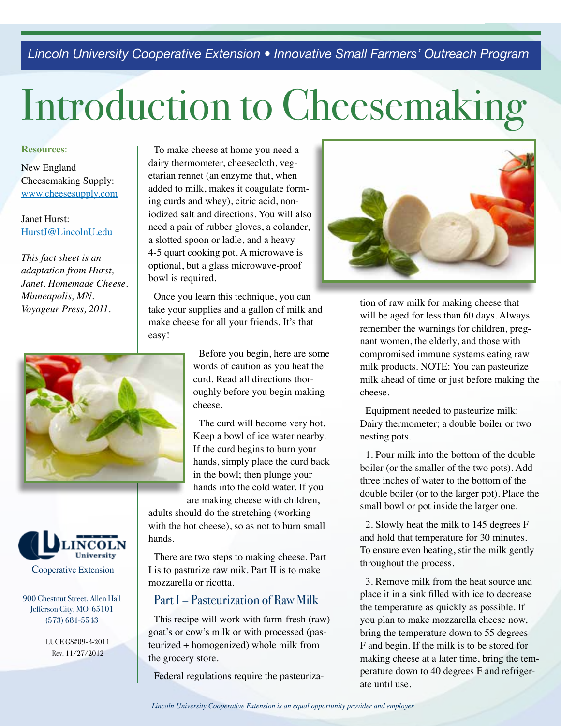*Lincoln University Cooperative Extension • Innovative Small Farmers' Outreach Program* 

# Introduction to Cheesemaking

#### **Resources**:

New England Cheesemaking Supply: www.cheesesupply.com

## Janet Hurst: HurstJ@LincolnU.edu

*This fact sheet is an adaptation from Hurst, Janet. Homemade Cheese. Minneapolis, MN. Voyageur Press, 2011.* 





900 Chestnut Street, Allen Hall Jefferson City, MO 65101 (573) 681-5543

> LUCE GS#09-B-2011 Rev. 11/27/2012

To make cheese at home you need a dairy thermometer, cheesecloth, vegetarian rennet (an enzyme that, when added to milk, makes it coagulate forming curds and whey), citric acid, noniodized salt and directions. You will also need a pair of rubber gloves, a colander, a slotted spoon or ladle, and a heavy 4-5 quart cooking pot. A microwave is optional, but a glass microwave-proof bowl is required.

Once you learn this technique, you can take your supplies and a gallon of milk and make cheese for all your friends. It's that easy!

> Before you begin, here are some words of caution as you heat the curd. Read all directions thoroughly before you begin making cheese.

The curd will become very hot. Keep a bowl of ice water nearby. If the curd begins to burn your hands, simply place the curd back in the bowl; then plunge your hands into the cold water. If you are making cheese with children,

adults should do the stretching (working with the hot cheese), so as not to burn small hands.

There are two steps to making cheese. Part I is to pasturize raw mik. Part II is to make mozzarella or ricotta.

## Part I – Pasteurization of Raw Milk

This recipe will work with farm-fresh (raw) goat's or cow's milk or with processed (pasteurized + homogenized) whole milk from the grocery store.

Federal regulations require the pasteuriza-



tion of raw milk for making cheese that will be aged for less than 60 days. Always remember the warnings for children, pregnant women, the elderly, and those with compromised immune systems eating raw milk products. NOTE: You can pasteurize milk ahead of time or just before making the cheese.

Equipment needed to pasteurize milk: Dairy thermometer; a double boiler or two nesting pots.

1. Pour milk into the bottom of the double boiler (or the smaller of the two pots). Add three inches of water to the bottom of the double boiler (or to the larger pot). Place the small bowl or pot inside the larger one.

2. Slowly heat the milk to 145 degrees F and hold that temperature for 30 minutes. To ensure even heating, stir the milk gently throughout the process.

3. Remove milk from the heat source and place it in a sink filled with ice to decrease the temperature as quickly as possible. If you plan to make mozzarella cheese now, bring the temperature down to 55 degrees F and begin. If the milk is to be stored for making cheese at a later time, bring the temperature down to 40 degrees F and refrigerate until use.